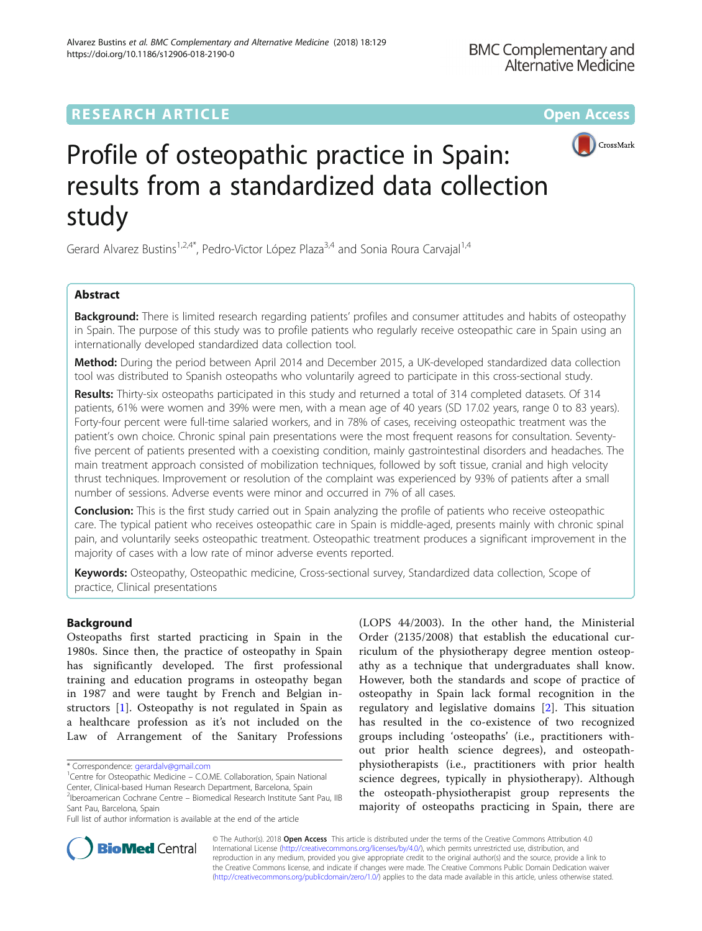## **RESEARCH ARTICLE External Structure Community Community Community Community Community Community Community Community**



# Profile of osteopathic practice in Spain: results from a standardized data collection study

Gerard Alvarez Bustins<sup>1,2,4\*</sup>, Pedro-Victor López Plaza<sup>3,4</sup> and Sonia Roura Carvajal<sup>1,4</sup>

## Abstract

Background: There is limited research regarding patients' profiles and consumer attitudes and habits of osteopathy in Spain. The purpose of this study was to profile patients who regularly receive osteopathic care in Spain using an internationally developed standardized data collection tool.

Method: During the period between April 2014 and December 2015, a UK-developed standardized data collection tool was distributed to Spanish osteopaths who voluntarily agreed to participate in this cross-sectional study.

Results: Thirty-six osteopaths participated in this study and returned a total of 314 completed datasets. Of 314 patients, 61% were women and 39% were men, with a mean age of 40 years (SD 17.02 years, range 0 to 83 years). Forty-four percent were full-time salaried workers, and in 78% of cases, receiving osteopathic treatment was the patient's own choice. Chronic spinal pain presentations were the most frequent reasons for consultation. Seventyfive percent of patients presented with a coexisting condition, mainly gastrointestinal disorders and headaches. The main treatment approach consisted of mobilization techniques, followed by soft tissue, cranial and high velocity thrust techniques. Improvement or resolution of the complaint was experienced by 93% of patients after a small number of sessions. Adverse events were minor and occurred in 7% of all cases.

**Conclusion:** This is the first study carried out in Spain analyzing the profile of patients who receive osteopathic care. The typical patient who receives osteopathic care in Spain is middle-aged, presents mainly with chronic spinal pain, and voluntarily seeks osteopathic treatment. Osteopathic treatment produces a significant improvement in the majority of cases with a low rate of minor adverse events reported.

Keywords: Osteopathy, Osteopathic medicine, Cross-sectional survey, Standardized data collection, Scope of practice, Clinical presentations

## Background

Osteopaths first started practicing in Spain in the 1980s. Since then, the practice of osteopathy in Spain has significantly developed. The first professional training and education programs in osteopathy began in 1987 and were taught by French and Belgian instructors [\[1](#page-8-0)]. Osteopathy is not regulated in Spain as a healthcare profession as it's not included on the Law of Arrangement of the Sanitary Professions

Center, Clinical-based Human Research Department, Barcelona, Spain

(LOPS 44/2003). In the other hand, the Ministerial Order (2135/2008) that establish the educational curriculum of the physiotherapy degree mention osteopathy as a technique that undergraduates shall know. However, both the standards and scope of practice of osteopathy in Spain lack formal recognition in the regulatory and legislative domains [[2\]](#page-8-0). This situation has resulted in the co-existence of two recognized groups including 'osteopaths' (i.e., practitioners without prior health science degrees), and osteopathphysiotherapists (i.e., practitioners with prior health science degrees, typically in physiotherapy). Although the osteopath-physiotherapist group represents the majority of osteopaths practicing in Spain, there are



© The Author(s). 2018 Open Access This article is distributed under the terms of the Creative Commons Attribution 4.0 International License [\(http://creativecommons.org/licenses/by/4.0/](http://creativecommons.org/licenses/by/4.0/)), which permits unrestricted use, distribution, and reproduction in any medium, provided you give appropriate credit to the original author(s) and the source, provide a link to the Creative Commons license, and indicate if changes were made. The Creative Commons Public Domain Dedication waiver [\(http://creativecommons.org/publicdomain/zero/1.0/](http://creativecommons.org/publicdomain/zero/1.0/)) applies to the data made available in this article, unless otherwise stated.

<sup>\*</sup> Correspondence: [gerardalv@gmail.com](mailto:gerardalv@gmail.com) <sup>1</sup>

<sup>&</sup>lt;sup>1</sup> Centre for Osteopathic Medicine – C.O.ME. Collaboration, Spain National

<sup>&</sup>lt;sup>2</sup>Iberoamerican Cochrane Centre – Biomedical Research Institute Sant Pau, IIB Sant Pau, Barcelona, Spain

Full list of author information is available at the end of the article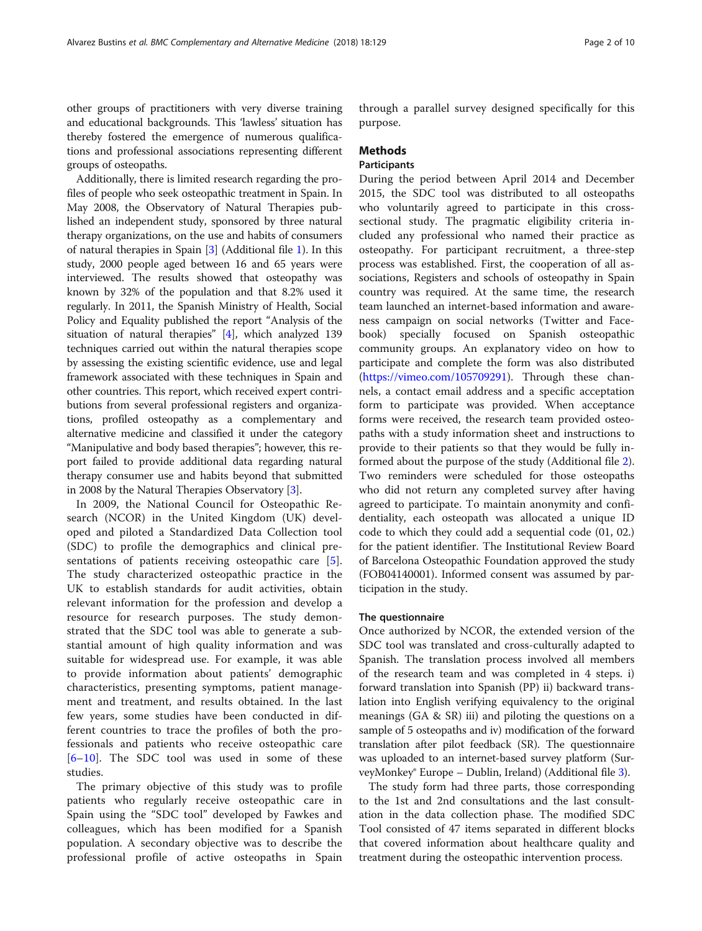other groups of practitioners with very diverse training and educational backgrounds. This 'lawless' situation has thereby fostered the emergence of numerous qualifications and professional associations representing different groups of osteopaths.

Additionally, there is limited research regarding the profiles of people who seek osteopathic treatment in Spain. In May 2008, the Observatory of Natural Therapies published an independent study, sponsored by three natural therapy organizations, on the use and habits of consumers of natural therapies in Spain [\[3\]](#page-8-0) (Additional file [1](#page-8-0)). In this study, 2000 people aged between 16 and 65 years were interviewed. The results showed that osteopathy was known by 32% of the population and that 8.2% used it regularly. In 2011, the Spanish Ministry of Health, Social Policy and Equality published the report "Analysis of the situation of natural therapies" [[4](#page-8-0)], which analyzed 139 techniques carried out within the natural therapies scope by assessing the existing scientific evidence, use and legal framework associated with these techniques in Spain and other countries. This report, which received expert contributions from several professional registers and organizations, profiled osteopathy as a complementary and alternative medicine and classified it under the category "Manipulative and body based therapies"; however, this report failed to provide additional data regarding natural therapy consumer use and habits beyond that submitted in 2008 by the Natural Therapies Observatory [\[3](#page-8-0)].

In 2009, the National Council for Osteopathic Research (NCOR) in the United Kingdom (UK) developed and piloted a Standardized Data Collection tool (SDC) to profile the demographics and clinical presentations of patients receiving osteopathic care [\[5](#page-8-0)]. The study characterized osteopathic practice in the UK to establish standards for audit activities, obtain relevant information for the profession and develop a resource for research purposes. The study demonstrated that the SDC tool was able to generate a substantial amount of high quality information and was suitable for widespread use. For example, it was able to provide information about patients' demographic characteristics, presenting symptoms, patient management and treatment, and results obtained. In the last few years, some studies have been conducted in different countries to trace the profiles of both the professionals and patients who receive osteopathic care [[6](#page-8-0)–[10\]](#page-8-0). The SDC tool was used in some of these studies.

The primary objective of this study was to profile patients who regularly receive osteopathic care in Spain using the "SDC tool" developed by Fawkes and colleagues, which has been modified for a Spanish population. A secondary objective was to describe the professional profile of active osteopaths in Spain

through a parallel survey designed specifically for this purpose.

## Methods

## **Participants**

During the period between April 2014 and December 2015, the SDC tool was distributed to all osteopaths who voluntarily agreed to participate in this crosssectional study. The pragmatic eligibility criteria included any professional who named their practice as osteopathy. For participant recruitment, a three-step process was established. First, the cooperation of all associations, Registers and schools of osteopathy in Spain country was required. At the same time, the research team launched an internet-based information and awareness campaign on social networks (Twitter and Facebook) specially focused on Spanish osteopathic community groups. An explanatory video on how to participate and complete the form was also distributed (<https://vimeo.com/105709291>). Through these channels, a contact email address and a specific acceptation form to participate was provided. When acceptance forms were received, the research team provided osteopaths with a study information sheet and instructions to provide to their patients so that they would be fully informed about the purpose of the study (Additional file [2](#page-8-0)). Two reminders were scheduled for those osteopaths who did not return any completed survey after having agreed to participate. To maintain anonymity and confidentiality, each osteopath was allocated a unique ID code to which they could add a sequential code (01, 02.) for the patient identifier. The Institutional Review Board of Barcelona Osteopathic Foundation approved the study (FOB04140001). Informed consent was assumed by participation in the study.

#### The questionnaire

Once authorized by NCOR, the extended version of the SDC tool was translated and cross-culturally adapted to Spanish. The translation process involved all members of the research team and was completed in 4 steps. i) forward translation into Spanish (PP) ii) backward translation into English verifying equivalency to the original meanings (GA & SR) iii) and piloting the questions on a sample of 5 osteopaths and iv) modification of the forward translation after pilot feedback (SR). The questionnaire was uploaded to an internet-based survey platform (SurveyMonkey® Europe – Dublin, Ireland) (Additional file [3\)](#page-8-0).

The study form had three parts, those corresponding to the 1st and 2nd consultations and the last consultation in the data collection phase. The modified SDC Tool consisted of 47 items separated in different blocks that covered information about healthcare quality and treatment during the osteopathic intervention process.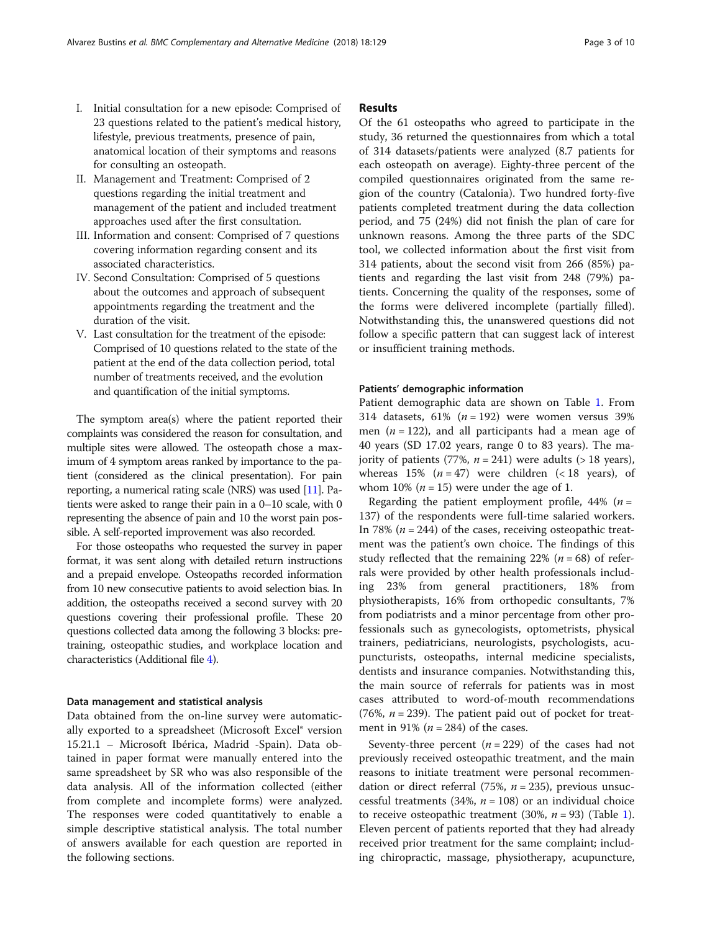- I. Initial consultation for a new episode: Comprised of 23 questions related to the patient's medical history, lifestyle, previous treatments, presence of pain, anatomical location of their symptoms and reasons for consulting an osteopath.
- II. Management and Treatment: Comprised of 2 questions regarding the initial treatment and management of the patient and included treatment approaches used after the first consultation.
- III. Information and consent: Comprised of 7 questions covering information regarding consent and its associated characteristics.
- IV. Second Consultation: Comprised of 5 questions about the outcomes and approach of subsequent appointments regarding the treatment and the duration of the visit.
- V. Last consultation for the treatment of the episode: Comprised of 10 questions related to the state of the patient at the end of the data collection period, total number of treatments received, and the evolution and quantification of the initial symptoms.

The symptom area(s) where the patient reported their complaints was considered the reason for consultation, and multiple sites were allowed. The osteopath chose a maximum of 4 symptom areas ranked by importance to the patient (considered as the clinical presentation). For pain reporting, a numerical rating scale (NRS) was used [\[11\]](#page-8-0). Patients were asked to range their pain in a 0–10 scale, with 0 representing the absence of pain and 10 the worst pain possible. A self-reported improvement was also recorded.

For those osteopaths who requested the survey in paper format, it was sent along with detailed return instructions and a prepaid envelope. Osteopaths recorded information from 10 new consecutive patients to avoid selection bias. In addition, the osteopaths received a second survey with 20 questions covering their professional profile. These 20 questions collected data among the following 3 blocks: pretraining, osteopathic studies, and workplace location and characteristics (Additional file [4](#page-8-0)).

## Data management and statistical analysis

Data obtained from the on-line survey were automatically exported to a spreadsheet (Microsoft Excel® version 15.21.1 – Microsoft Ibérica, Madrid -Spain). Data obtained in paper format were manually entered into the same spreadsheet by SR who was also responsible of the data analysis. All of the information collected (either from complete and incomplete forms) were analyzed. The responses were coded quantitatively to enable a simple descriptive statistical analysis. The total number of answers available for each question are reported in the following sections.

## Results

Of the 61 osteopaths who agreed to participate in the study, 36 returned the questionnaires from which a total of 314 datasets/patients were analyzed (8.7 patients for each osteopath on average). Eighty-three percent of the compiled questionnaires originated from the same region of the country (Catalonia). Two hundred forty-five patients completed treatment during the data collection period, and 75 (24%) did not finish the plan of care for unknown reasons. Among the three parts of the SDC tool, we collected information about the first visit from 314 patients, about the second visit from 266 (85%) patients and regarding the last visit from 248 (79%) patients. Concerning the quality of the responses, some of the forms were delivered incomplete (partially filled). Notwithstanding this, the unanswered questions did not follow a specific pattern that can suggest lack of interest or insufficient training methods.

## Patients' demographic information

Patient demographic data are shown on Table [1](#page-3-0). From 314 datasets, 61%  $(n = 192)$  were women versus 39% men ( $n = 122$ ), and all participants had a mean age of 40 years (SD 17.02 years, range 0 to 83 years). The majority of patients (77%,  $n = 241$ ) were adults (> 18 years), whereas 15%  $(n = 47)$  were children (<18 years), of whom 10% ( $n = 15$ ) were under the age of 1.

Regarding the patient employment profile,  $44\%$  ( $n =$ 137) of the respondents were full-time salaried workers. In 78% ( $n = 244$ ) of the cases, receiving osteopathic treatment was the patient's own choice. The findings of this study reflected that the remaining 22% ( $n = 68$ ) of referrals were provided by other health professionals including 23% from general practitioners, 18% from physiotherapists, 16% from orthopedic consultants, 7% from podiatrists and a minor percentage from other professionals such as gynecologists, optometrists, physical trainers, pediatricians, neurologists, psychologists, acupuncturists, osteopaths, internal medicine specialists, dentists and insurance companies. Notwithstanding this, the main source of referrals for patients was in most cases attributed to word-of-mouth recommendations (76%,  $n = 239$ ). The patient paid out of pocket for treatment in 91% ( $n = 284$ ) of the cases.

Seventy-three percent  $(n = 229)$  of the cases had not previously received osteopathic treatment, and the main reasons to initiate treatment were personal recommendation or direct referral (75%,  $n = 235$ ), previous unsuccessful treatments (34%,  $n = 108$ ) or an individual choice to receive osteopathic treatment  $(30\%, n = 93)$  (Table [1](#page-3-0)). Eleven percent of patients reported that they had already received prior treatment for the same complaint; including chiropractic, massage, physiotherapy, acupuncture,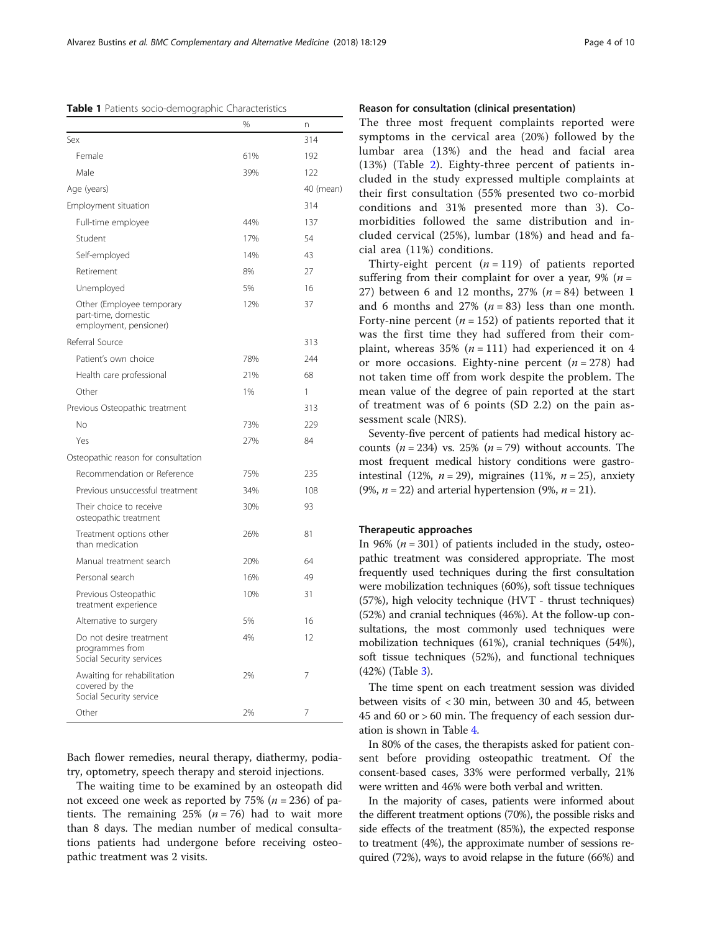<span id="page-3-0"></span>

|  | Table 1 Patients socio-demographic Characteristics |  |
|--|----------------------------------------------------|--|
|  |                                                    |  |

|                                                                            | %   | n         |
|----------------------------------------------------------------------------|-----|-----------|
| Sex                                                                        |     | 314       |
| Female                                                                     | 61% | 192       |
| Male                                                                       | 39% | 122       |
| Age (years)                                                                |     | 40 (mean) |
| Employment situation                                                       |     | 314       |
| Full-time employee                                                         | 44% | 137       |
| Student                                                                    | 17% | 54        |
| Self-employed                                                              | 14% | 43        |
| Retirement                                                                 | 8%  | 27        |
| Unemployed                                                                 | 5%  | 16        |
| Other (Employee temporary<br>part-time, domestic<br>employment, pensioner) | 12% | 37        |
| Referral Source                                                            |     | 313       |
| Patient's own choice                                                       | 78% | 244       |
| Health care professional                                                   | 21% | 68        |
| Other                                                                      | 1%  | 1         |
| Previous Osteopathic treatment                                             |     | 313       |
| No                                                                         | 73% | 229       |
| Yes                                                                        | 27% | 84        |
| Osteopathic reason for consultation                                        |     |           |
| Recommendation or Reference                                                | 75% | 235       |
| Previous unsuccessful treatment                                            | 34% | 108       |
| Their choice to receive<br>osteopathic treatment                           | 30% | 93        |
| Treatment options other<br>than medication                                 | 26% | 81        |
| Manual treatment search                                                    | 20% | 64        |
| Personal search                                                            | 16% | 49        |
| Previous Osteopathic<br>treatment experience                               | 10% | 31        |
| Alternative to surgery                                                     | 5%  | 16        |
| Do not desire treatment<br>programmes from<br>Social Security services     | 4%  | 12        |
| Awaiting for rehabilitation<br>covered by the<br>Social Security service   | 2%  | 7         |
| Other                                                                      | 2%  | 7         |

Bach flower remedies, neural therapy, diathermy, podiatry, optometry, speech therapy and steroid injections.

The waiting time to be examined by an osteopath did not exceed one week as reported by  $75\%$  ( $n = 236$ ) of patients. The remaining  $25\%$  ( $n = 76$ ) had to wait more than 8 days. The median number of medical consultations patients had undergone before receiving osteopathic treatment was 2 visits.

## Reason for consultation (clinical presentation)

The three most frequent complaints reported were symptoms in the cervical area (20%) followed by the lumbar area (13%) and the head and facial area (13%) (Table [2](#page-4-0)). Eighty-three percent of patients included in the study expressed multiple complaints at their first consultation (55% presented two co-morbid conditions and 31% presented more than 3). Comorbidities followed the same distribution and included cervical (25%), lumbar (18%) and head and facial area (11%) conditions.

Thirty-eight percent  $(n = 119)$  of patients reported suffering from their complaint for over a year, 9% ( $n =$ 27) between 6 and 12 months, 27%  $(n = 84)$  between 1 and 6 months and 27%  $(n = 83)$  less than one month. Forty-nine percent ( $n = 152$ ) of patients reported that it was the first time they had suffered from their complaint, whereas 35% ( $n = 111$ ) had experienced it on 4 or more occasions. Eighty-nine percent  $(n = 278)$  had not taken time off from work despite the problem. The mean value of the degree of pain reported at the start of treatment was of 6 points (SD 2.2) on the pain assessment scale (NRS).

Seventy-five percent of patients had medical history accounts ( $n = 234$ ) vs. 25% ( $n = 79$ ) without accounts. The most frequent medical history conditions were gastrointestinal (12%,  $n = 29$ ), migraines (11%,  $n = 25$ ), anxiety (9%,  $n = 22$ ) and arterial hypertension (9%,  $n = 21$ ).

## Therapeutic approaches

In 96%  $(n = 301)$  of patients included in the study, osteopathic treatment was considered appropriate. The most frequently used techniques during the first consultation were mobilization techniques (60%), soft tissue techniques (57%), high velocity technique (HVT - thrust techniques) (52%) and cranial techniques (46%). At the follow-up consultations, the most commonly used techniques were mobilization techniques (61%), cranial techniques (54%), soft tissue techniques (52%), and functional techniques (42%) (Table [3](#page-5-0)).

The time spent on each treatment session was divided between visits of < 30 min, between 30 and 45, between 45 and 60 or > 60 min. The frequency of each session duration is shown in Table [4.](#page-5-0)

In 80% of the cases, the therapists asked for patient consent before providing osteopathic treatment. Of the consent-based cases, 33% were performed verbally, 21% were written and 46% were both verbal and written.

In the majority of cases, patients were informed about the different treatment options (70%), the possible risks and side effects of the treatment (85%), the expected response to treatment (4%), the approximate number of sessions required (72%), ways to avoid relapse in the future (66%) and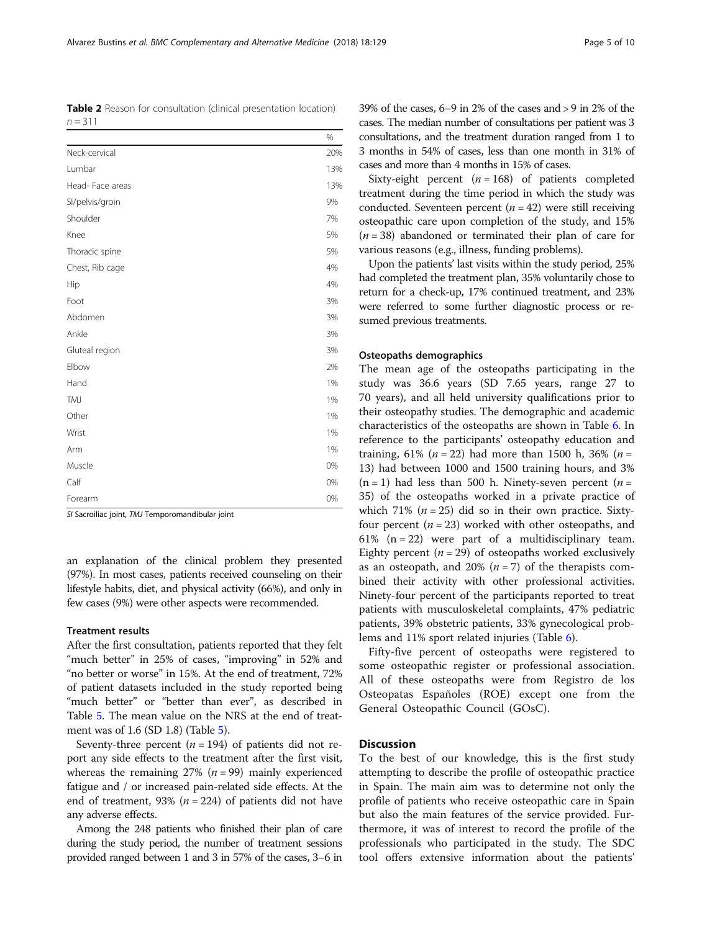SI Sacroiliac joint, TMJ Temporomandibular joint

an explanation of the clinical problem they presented (97%). In most cases, patients received counseling on their lifestyle habits, diet, and physical activity (66%), and only in few cases (9%) were other aspects were recommended.

## Treatment results

After the first consultation, patients reported that they felt "much better" in 25% of cases, "improving" in 52% and "no better or worse" in 15%. At the end of treatment, 72% of patient datasets included in the study reported being "much better" or "better than ever", as described in Table [5.](#page-6-0) The mean value on the NRS at the end of treatment was of 1.6 (SD 1.8) (Table [5\)](#page-6-0).

Seventy-three percent ( $n = 194$ ) of patients did not report any side effects to the treatment after the first visit, whereas the remaining  $27\%$  ( $n = 99$ ) mainly experienced fatigue and / or increased pain-related side effects. At the end of treatment, 93% ( $n = 224$ ) of patients did not have any adverse effects.

Among the 248 patients who finished their plan of care during the study period, the number of treatment sessions provided ranged between 1 and 3 in 57% of the cases, 3–6 in 39% of the cases, 6–9 in 2% of the cases and > 9 in 2% of the cases. The median number of consultations per patient was 3 consultations, and the treatment duration ranged from 1 to 3 months in 54% of cases, less than one month in 31% of cases and more than 4 months in 15% of cases.

Sixty-eight percent  $(n = 168)$  of patients completed treatment during the time period in which the study was conducted. Seventeen percent  $(n = 42)$  were still receiving osteopathic care upon completion of the study, and 15%  $(n = 38)$  abandoned or terminated their plan of care for various reasons (e.g., illness, funding problems).

Upon the patients' last visits within the study period, 25% had completed the treatment plan, 35% voluntarily chose to return for a check-up, 17% continued treatment, and 23% were referred to some further diagnostic process or resumed previous treatments.

## Osteopaths demographics

The mean age of the osteopaths participating in the study was 36.6 years (SD 7.65 years, range 27 to 70 years), and all held university qualifications prior to their osteopathy studies. The demographic and academic characteristics of the osteopaths are shown in Table [6.](#page-6-0) In reference to the participants' osteopathy education and training, 61% ( $n = 22$ ) had more than 1500 h, 36% ( $n =$ 13) had between 1000 and 1500 training hours, and 3%  $(n = 1)$  had less than 500 h. Ninety-seven percent  $(n = 1)$ 35) of the osteopaths worked in a private practice of which 71% ( $n = 25$ ) did so in their own practice. Sixtyfour percent ( $n = 23$ ) worked with other osteopaths, and 61% ( $n = 22$ ) were part of a multidisciplinary team. Eighty percent ( $n = 29$ ) of osteopaths worked exclusively as an osteopath, and 20%  $(n=7)$  of the therapists combined their activity with other professional activities. Ninety-four percent of the participants reported to treat patients with musculoskeletal complaints, 47% pediatric patients, 39% obstetric patients, 33% gynecological problems and 11% sport related injuries (Table [6](#page-6-0)).

Fifty-five percent of osteopaths were registered to some osteopathic register or professional association. All of these osteopaths were from Registro de los Osteopatas Españoles (ROE) except one from the General Osteopathic Council (GOsC).

## **Discussion**

To the best of our knowledge, this is the first study attempting to describe the profile of osteopathic practice in Spain. The main aim was to determine not only the profile of patients who receive osteopathic care in Spain but also the main features of the service provided. Furthermore, it was of interest to record the profile of the professionals who participated in the study. The SDC tool offers extensive information about the patients'

<span id="page-4-0"></span>Table 2 Reason for consultation (clinical presentation location)  $n = 311$ 

|                  | %   |
|------------------|-----|
| Neck-cervical    | 20% |
| Lumbar           | 13% |
| Head- Face areas | 13% |
| SI/pelvis/groin  | 9%  |
| Shoulder         | 7%  |
| Knee             | 5%  |
| Thoracic spine   | 5%  |
| Chest, Rib cage  | 4%  |
| Hip              | 4%  |
| Foot             | 3%  |
| Abdomen          | 3%  |
| Ankle            | 3%  |
| Gluteal region   | 3%  |
| Elbow            | 2%  |
| Hand             | 1%  |
| TMJ              | 1%  |
| Other            | 1%  |
| Wrist            | 1%  |
| Arm              | 1%  |
| Muscle           | 0%  |
| Calf             | 0%  |
| Forearm          | 0%  |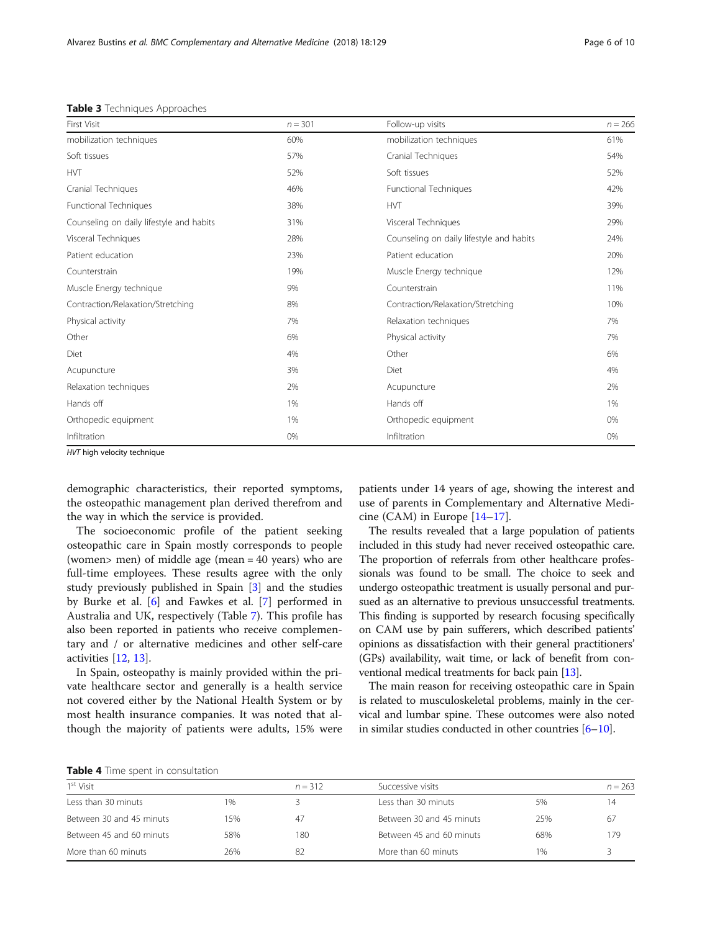<span id="page-5-0"></span>Table 3 Techniques Approaches

| First Visit                              | $n = 301$ | Follow-up visits                         | $n = 266$ |
|------------------------------------------|-----------|------------------------------------------|-----------|
| mobilization techniques                  | 60%       | mobilization techniques                  | 61%       |
| Soft tissues                             | 57%       | Cranial Techniques                       | 54%       |
| <b>HVT</b>                               | 52%       | Soft tissues                             | 52%       |
| Cranial Techniques                       | 46%       | <b>Functional Techniques</b>             | 42%       |
| <b>Functional Techniques</b>             | 38%       | <b>HVT</b>                               | 39%       |
| Counseling on daily lifestyle and habits | 31%       | Visceral Techniques                      | 29%       |
| Visceral Techniques                      | 28%       | Counseling on daily lifestyle and habits | 24%       |
| Patient education                        | 23%       | Patient education                        | 20%       |
| Counterstrain                            | 19%       | Muscle Energy technique                  | 12%       |
| Muscle Energy technique                  | 9%        | Counterstrain                            | 11%       |
| Contraction/Relaxation/Stretching        | 8%        | Contraction/Relaxation/Stretching        | 10%       |
| Physical activity                        | 7%        | Relaxation techniques                    | 7%        |
| Other                                    | 6%        | Physical activity                        | 7%        |
| Diet                                     | 4%        | Other                                    | 6%        |
| Acupuncture                              | 3%        | Diet                                     | 4%        |
| Relaxation techniques                    | 2%        | Acupuncture                              | 2%        |
| Hands off                                | 1%        | Hands off                                | 1%        |
| Orthopedic equipment                     | 1%        | Orthopedic equipment                     | 0%        |
| Infiltration                             | 0%        | Infiltration                             | 0%        |

HVT high velocity technique

demographic characteristics, their reported symptoms, the osteopathic management plan derived therefrom and the way in which the service is provided.

The socioeconomic profile of the patient seeking osteopathic care in Spain mostly corresponds to people (women> men) of middle age (mean = 40 years) who are full-time employees. These results agree with the only study previously published in Spain [[3\]](#page-8-0) and the studies by Burke et al. [\[6](#page-8-0)] and Fawkes et al. [[7\]](#page-8-0) performed in Australia and UK, respectively (Table [7\)](#page-7-0). This profile has also been reported in patients who receive complementary and / or alternative medicines and other self-care activities [\[12](#page-8-0), [13](#page-9-0)].

In Spain, osteopathy is mainly provided within the private healthcare sector and generally is a health service not covered either by the National Health System or by most health insurance companies. It was noted that although the majority of patients were adults, 15% were

patients under 14 years of age, showing the interest and use of parents in Complementary and Alternative Medicine (CAM) in Europe [\[14](#page-9-0)–[17\]](#page-9-0).

The results revealed that a large population of patients included in this study had never received osteopathic care. The proportion of referrals from other healthcare professionals was found to be small. The choice to seek and undergo osteopathic treatment is usually personal and pursued as an alternative to previous unsuccessful treatments. This finding is supported by research focusing specifically on CAM use by pain sufferers, which described patients' opinions as dissatisfaction with their general practitioners' (GPs) availability, wait time, or lack of benefit from conventional medical treatments for back pain [\[13\]](#page-9-0).

The main reason for receiving osteopathic care in Spain is related to musculoskeletal problems, mainly in the cervical and lumbar spine. These outcomes were also noted in similar studies conducted in other countries  $[6-10]$  $[6-10]$  $[6-10]$  $[6-10]$ .

Table 4 Time spent in consultation

| 1 <sup>st</sup> Visit    |     | $n = 312$ | Successive visits        |     | $n = 263$ |
|--------------------------|-----|-----------|--------------------------|-----|-----------|
| Less than 30 minuts      | 1%  |           | Less than 30 minuts      | 5%  |           |
| Between 30 and 45 minuts | 15% | 47        | Between 30 and 45 minuts | 25% | 67        |
| Between 45 and 60 minuts | 58% | 180       | Between 45 and 60 minuts | 68% | 179       |
| More than 60 minuts      | 26% | -82       | More than 60 minuts      | 1%  |           |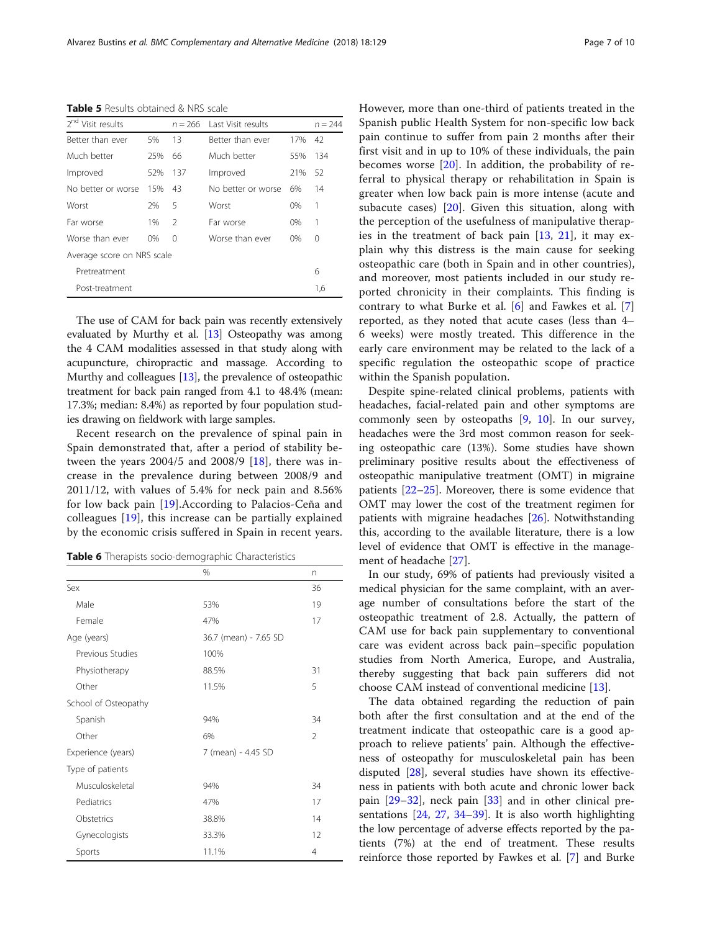<span id="page-6-0"></span>Table 5 Results obtained & NRS scale

| $2^{nd}$<br>Visit results  |       | $n = 266$      | Last Visit results |     | $n = 244$ |
|----------------------------|-------|----------------|--------------------|-----|-----------|
| Better than ever           | 5%    | 13             | Better than ever   | 17% | 42        |
| Much better                | 25%   | 66             | Much better        | 55% | 134       |
| Improved                   | 52%   | 137            | Improved           | 21% | 52        |
| No better or worse         | 15%   | 43             | No better or worse | 6%  | 14        |
| Worst                      | 2%    | 5              | Worst              | 0%  | 1         |
| Far worse                  | 1%    | $\mathfrak{D}$ | Far worse          | 0%  | 1         |
| Worse than ever            | $0\%$ | $\Omega$       | Worse than ever    | 0%  | 0         |
| Average score on NRS scale |       |                |                    |     |           |
| Pretreatment               |       |                |                    |     | 6         |
| Post-treatment             |       |                |                    |     | 1,6       |
|                            |       |                |                    |     |           |

The use of CAM for back pain was recently extensively evaluated by Murthy et al. [\[13\]](#page-9-0) Osteopathy was among the 4 CAM modalities assessed in that study along with acupuncture, chiropractic and massage. According to Murthy and colleagues [[13\]](#page-9-0), the prevalence of osteopathic treatment for back pain ranged from 4.1 to 48.4% (mean: 17.3%; median: 8.4%) as reported by four population studies drawing on fieldwork with large samples.

Recent research on the prevalence of spinal pain in Spain demonstrated that, after a period of stability between the years  $2004/5$  and  $2008/9$  [[18\]](#page-9-0), there was increase in the prevalence during between 2008/9 and 2011/12, with values of 5.4% for neck pain and 8.56% for low back pain [[19\]](#page-9-0).According to Palacios-Ceña and colleagues [\[19](#page-9-0)], this increase can be partially explained by the economic crisis suffered in Spain in recent years.

Table 6 Therapists socio-demographic Characteristics

|                      | $\%$                  | n              |
|----------------------|-----------------------|----------------|
| Sex                  |                       | 36             |
| Male                 | 53%                   | 19             |
| Female               | 47%                   | 17             |
| Age (years)          | 36.7 (mean) - 7.65 SD |                |
| Previous Studies     | 100%                  |                |
| Physiotherapy        | 88.5%                 | 31             |
| Other                | 11.5%                 | 5              |
| School of Osteopathy |                       |                |
| Spanish              | 94%                   | 34             |
| Other                | 6%                    | $\mathfrak{D}$ |
| Experience (years)   | 7 (mean) - 4.45 SD    |                |
| Type of patients     |                       |                |
| Musculoskeletal      | 94%                   | 34             |
| Pediatrics           | 47%                   | 17             |
| Obstetrics           | 38.8%                 | 14             |
| Gynecologists        | 33.3%                 | 12             |
| Sports               | 11.1%                 | 4              |

However, more than one-third of patients treated in the Spanish public Health System for non-specific low back pain continue to suffer from pain 2 months after their first visit and in up to 10% of these individuals, the pain becomes worse [\[20](#page-9-0)]. In addition, the probability of referral to physical therapy or rehabilitation in Spain is greater when low back pain is more intense (acute and subacute cases)  $[20]$  $[20]$ . Given this situation, along with the perception of the usefulness of manipulative therapies in the treatment of back pain [\[13](#page-9-0), [21\]](#page-9-0), it may explain why this distress is the main cause for seeking osteopathic care (both in Spain and in other countries), and moreover, most patients included in our study reported chronicity in their complaints. This finding is contrary to what Burke et al. [[6\]](#page-8-0) and Fawkes et al. [\[7](#page-8-0)] reported, as they noted that acute cases (less than 4– 6 weeks) were mostly treated. This difference in the early care environment may be related to the lack of a specific regulation the osteopathic scope of practice within the Spanish population.

Despite spine-related clinical problems, patients with headaches, facial-related pain and other symptoms are commonly seen by osteopaths [[9,](#page-8-0) [10\]](#page-8-0). In our survey, headaches were the 3rd most common reason for seeking osteopathic care (13%). Some studies have shown preliminary positive results about the effectiveness of osteopathic manipulative treatment (OMT) in migraine patients [[22](#page-9-0)–[25](#page-9-0)]. Moreover, there is some evidence that OMT may lower the cost of the treatment regimen for patients with migraine headaches [\[26](#page-9-0)]. Notwithstanding this, according to the available literature, there is a low level of evidence that OMT is effective in the management of headache [[27\]](#page-9-0).

In our study, 69% of patients had previously visited a medical physician for the same complaint, with an average number of consultations before the start of the osteopathic treatment of 2.8. Actually, the pattern of CAM use for back pain supplementary to conventional care was evident across back pain–specific population studies from North America, Europe, and Australia, thereby suggesting that back pain sufferers did not choose CAM instead of conventional medicine [\[13](#page-9-0)].

The data obtained regarding the reduction of pain both after the first consultation and at the end of the treatment indicate that osteopathic care is a good approach to relieve patients' pain. Although the effectiveness of osteopathy for musculoskeletal pain has been disputed [\[28](#page-9-0)], several studies have shown its effectiveness in patients with both acute and chronic lower back pain [[29](#page-9-0)–[32](#page-9-0)], neck pain [[33](#page-9-0)] and in other clinical presentations [\[24](#page-9-0), [27](#page-9-0), [34](#page-9-0)–[39\]](#page-9-0). It is also worth highlighting the low percentage of adverse effects reported by the patients (7%) at the end of treatment. These results reinforce those reported by Fawkes et al. [[7](#page-8-0)] and Burke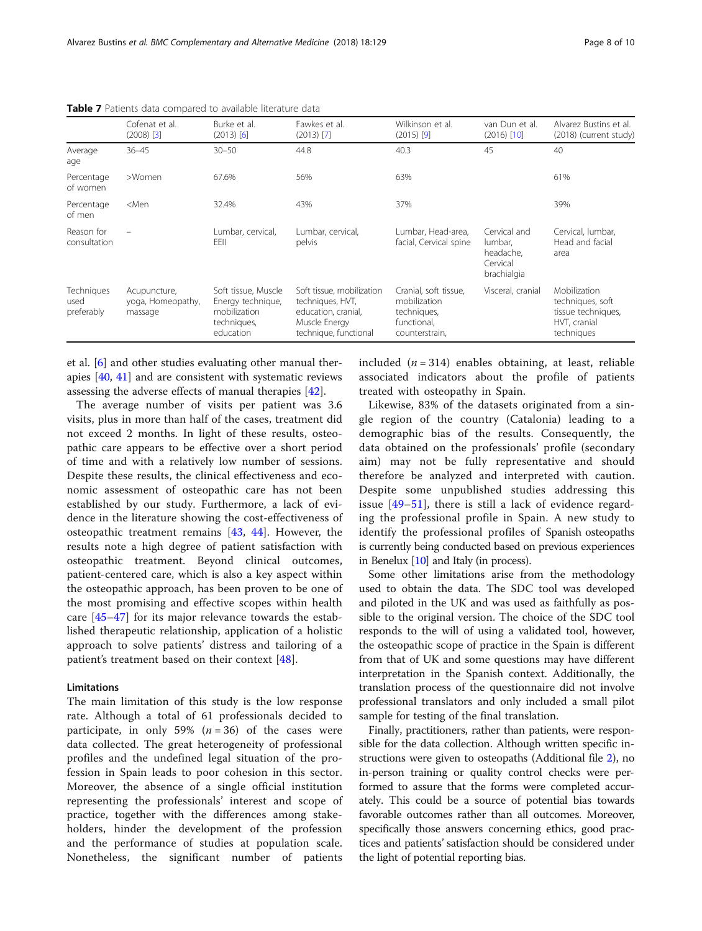|                                         | Cofenat et al.<br>$(2008)$ [3]               | Burke et al.<br>$(2013)$ [6]                                                         | Fawkes et al.<br>$(2013)$ [7]                                                                                  | Wilkinson et al.<br>$(2015)$ [9]                                                      | van Dun et al.<br>$(2016)$ $[10]$                               | Alvarez Bustins et al.<br>(2018) (current study)                                     |
|-----------------------------------------|----------------------------------------------|--------------------------------------------------------------------------------------|----------------------------------------------------------------------------------------------------------------|---------------------------------------------------------------------------------------|-----------------------------------------------------------------|--------------------------------------------------------------------------------------|
| Average<br>age                          | $36 - 45$                                    | $30 - 50$                                                                            | 44.8                                                                                                           | 40.3                                                                                  | 45                                                              | 40                                                                                   |
| Percentage<br>of women                  | >Women                                       | 67.6%                                                                                | 56%                                                                                                            | 63%                                                                                   |                                                                 | 61%                                                                                  |
| Percentage<br>of men                    | $<$ Men                                      | 32.4%                                                                                | 43%                                                                                                            | 37%                                                                                   |                                                                 | 39%                                                                                  |
| Reason for<br>consultation              |                                              | Lumbar, cervical,<br>EEII                                                            | Lumbar, cervical,<br>pelvis                                                                                    | Lumbar, Head-area,<br>facial, Cervical spine                                          | Cervical and<br>lumbar,<br>headache,<br>Cervical<br>brachialgia | Cervical, lumbar,<br>Head and facial<br>area                                         |
| <b>Techniques</b><br>used<br>preferably | Acupuncture,<br>yoga, Homeopathy,<br>massage | Soft tissue, Muscle<br>Energy technique,<br>mobilization<br>techniques,<br>education | Soft tissue, mobilization<br>techniques, HVT,<br>education, cranial,<br>Muscle Energy<br>technique, functional | Cranial, soft tissue,<br>mobilization<br>techniques,<br>functional,<br>counterstrain, | Visceral, cranial                                               | Mobilization<br>techniques, soft<br>tissue techniques,<br>HVT, cranial<br>techniques |

<span id="page-7-0"></span>Table 7 Patients data compared to available literature data

et al. [[6\]](#page-8-0) and other studies evaluating other manual therapies [[40](#page-9-0), [41\]](#page-9-0) and are consistent with systematic reviews assessing the adverse effects of manual therapies [[42](#page-9-0)].

The average number of visits per patient was 3.6 visits, plus in more than half of the cases, treatment did not exceed 2 months. In light of these results, osteopathic care appears to be effective over a short period of time and with a relatively low number of sessions. Despite these results, the clinical effectiveness and economic assessment of osteopathic care has not been established by our study. Furthermore, a lack of evidence in the literature showing the cost-effectiveness of osteopathic treatment remains [\[43](#page-9-0), [44](#page-9-0)]. However, the results note a high degree of patient satisfaction with osteopathic treatment. Beyond clinical outcomes, patient-centered care, which is also a key aspect within the osteopathic approach, has been proven to be one of the most promising and effective scopes within health care [[45](#page-9-0)–[47\]](#page-9-0) for its major relevance towards the established therapeutic relationship, application of a holistic approach to solve patients' distress and tailoring of a patient's treatment based on their context [\[48](#page-9-0)].

## **Limitations**

The main limitation of this study is the low response rate. Although a total of 61 professionals decided to participate, in only 59%  $(n = 36)$  of the cases were data collected. The great heterogeneity of professional profiles and the undefined legal situation of the profession in Spain leads to poor cohesion in this sector. Moreover, the absence of a single official institution representing the professionals' interest and scope of practice, together with the differences among stakeholders, hinder the development of the profession and the performance of studies at population scale. Nonetheless, the significant number of patients included  $(n = 314)$  enables obtaining, at least, reliable associated indicators about the profile of patients treated with osteopathy in Spain.

Likewise, 83% of the datasets originated from a single region of the country (Catalonia) leading to a demographic bias of the results. Consequently, the data obtained on the professionals' profile (secondary aim) may not be fully representative and should therefore be analyzed and interpreted with caution. Despite some unpublished studies addressing this issue [[49](#page-9-0)–[51](#page-9-0)], there is still a lack of evidence regarding the professional profile in Spain. A new study to identify the professional profiles of Spanish osteopaths is currently being conducted based on previous experiences in Benelux [\[10](#page-8-0)] and Italy (in process).

Some other limitations arise from the methodology used to obtain the data. The SDC tool was developed and piloted in the UK and was used as faithfully as possible to the original version. The choice of the SDC tool responds to the will of using a validated tool, however, the osteopathic scope of practice in the Spain is different from that of UK and some questions may have different interpretation in the Spanish context. Additionally, the translation process of the questionnaire did not involve professional translators and only included a small pilot sample for testing of the final translation.

Finally, practitioners, rather than patients, were responsible for the data collection. Although written specific instructions were given to osteopaths (Additional file [2\)](#page-8-0), no in-person training or quality control checks were performed to assure that the forms were completed accurately. This could be a source of potential bias towards favorable outcomes rather than all outcomes. Moreover, specifically those answers concerning ethics, good practices and patients' satisfaction should be considered under the light of potential reporting bias.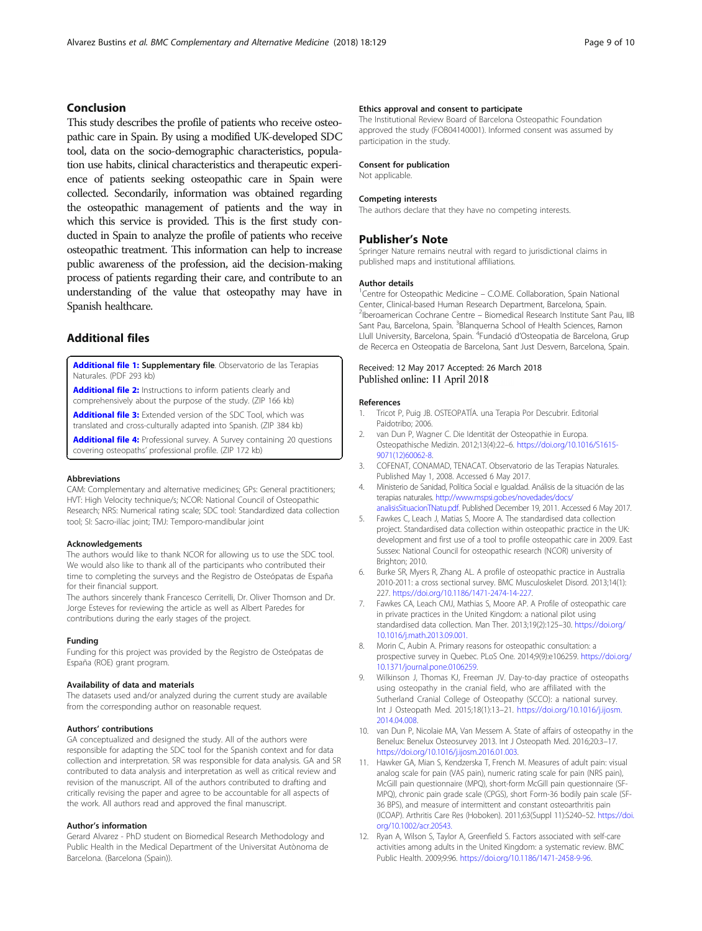## <span id="page-8-0"></span>Conclusion

This study describes the profile of patients who receive osteopathic care in Spain. By using a modified UK-developed SDC tool, data on the socio-demographic characteristics, population use habits, clinical characteristics and therapeutic experience of patients seeking osteopathic care in Spain were collected. Secondarily, information was obtained regarding the osteopathic management of patients and the way in which this service is provided. This is the first study conducted in Spain to analyze the profile of patients who receive osteopathic treatment. This information can help to increase public awareness of the profession, aid the decision-making process of patients regarding their care, and contribute to an understanding of the value that osteopathy may have in Spanish healthcare.

## Additional files

[Additional file 1:](https://doi.org/10.1186/s12906-018-2190-0) Supplementary file. Observatorio de las Terapias Naturales. (PDF 293 kb)

[Additional file 2:](https://doi.org/10.1186/s12906-018-2190-0) Instructions to inform patients clearly and comprehensively about the purpose of the study. (ZIP 166 kb)

[Additional file 3:](https://doi.org/10.1186/s12906-018-2190-0) Extended version of the SDC Tool, which was

translated and cross-culturally adapted into Spanish. (ZIP 384 kb) [Additional file 4:](https://doi.org/10.1186/s12906-018-2190-0) Professional survey. A Survey containing 20 questions

covering osteopaths' professional profile. (ZIP 172 kb)

#### **Abbreviations**

CAM: Complementary and alternative medicines; GPs: General practitioners; HVT: High Velocity technique/s; NCOR: National Council of Osteopathic Research; NRS: Numerical rating scale; SDC tool: Standardized data collection tool; SI: Sacro-ilíac joint; TMJ: Temporo-mandibular joint

#### Acknowledgements

The authors would like to thank NCOR for allowing us to use the SDC tool. We would also like to thank all of the participants who contributed their time to completing the surveys and the Registro de Osteópatas de España for their financial support.

The authors sincerely thank Francesco Cerritelli, Dr. Oliver Thomson and Dr. Jorge Esteves for reviewing the article as well as Albert Paredes for contributions during the early stages of the project.

#### Funding

Funding for this project was provided by the Registro de Osteópatas de España (ROE) grant program.

#### Availability of data and materials

The datasets used and/or analyzed during the current study are available from the corresponding author on reasonable request.

#### Authors' contributions

GA conceptualized and designed the study. All of the authors were responsible for adapting the SDC tool for the Spanish context and for data collection and interpretation. SR was responsible for data analysis. GA and SR contributed to data analysis and interpretation as well as critical review and revision of the manuscript. All of the authors contributed to drafting and critically revising the paper and agree to be accountable for all aspects of the work. All authors read and approved the final manuscript.

#### Author's information

Gerard Alvarez - PhD student on Biomedical Research Methodology and Public Health in the Medical Department of the Universitat Autònoma de Barcelona. (Barcelona (Spain)).

### Ethics approval and consent to participate

The Institutional Review Board of Barcelona Osteopathic Foundation approved the study (FOB04140001). Informed consent was assumed by participation in the study.

#### Consent for publication

Not applicable.

#### Competing interests

The authors declare that they have no competing interests.

## Publisher's Note

Springer Nature remains neutral with regard to jurisdictional claims in published maps and institutional affiliations.

## Author details

<sup>1</sup> Centre for Osteopathic Medicine - C.O.ME. Collaboration, Spain National Center, Clinical-based Human Research Department, Barcelona, Spain. <sup>2</sup>Iberoamerican Cochrane Centre - Biomedical Research Institute Sant Pau, IIB Sant Pau, Barcelona, Spain. <sup>3</sup>Blanquerna School of Health Sciences, Ramon Llull University, Barcelona, Spain. <sup>4</sup>Fundació d'Osteopatia de Barcelona, Grup de Recerca en Osteopatia de Barcelona, Sant Just Desvern, Barcelona, Spain.

## Received: 12 May 2017 Accepted: 26 March 2018 Published online: 11 April 2018

#### References

- 1. Tricot P, Puig JB. OSTEOPATÍA. una Terapia Por Descubrir. Editorial Paidotribo; 2006.
- 2. van Dun P, Wagner C. Die Identität der Osteopathie in Europa. Osteopathische Medizin. 2012;13(4):22–6. [https://doi.org/10.1016/S1615-](https://doi.org/10.1016/S1615-9071(12)60062-8) [9071\(12\)60062-8](https://doi.org/10.1016/S1615-9071(12)60062-8).
- 3. COFENAT, CONAMAD, TENACAT. Observatorio de las Terapias Naturales. Published May 1, 2008. Accessed 6 May 2017.
- 4. Ministerio de Sanidad, Política Social e Igualdad. Análisis de la situación de las terapias naturales. [http://www.mspsi.gob.es/novedades/docs/](http://www.mspsi.gob.es/novedades/docs/analisisSituacionTNatu.pdf) [analisisSituacionTNatu.pdf](http://www.mspsi.gob.es/novedades/docs/analisisSituacionTNatu.pdf). Published December 19, 2011. Accessed 6 May 2017.
- 5. Fawkes C, Leach J, Matias S, Moore A. The standardised data collection project. Standardised data collection within osteopathic practice in the UK: development and first use of a tool to profile osteopathic care in 2009. East Sussex: National Council for osteopathic research (NCOR) university of
- Brighton; 2010. 6. Burke SR, Myers R, Zhang AL. A profile of osteopathic practice in Australia 2010-2011: a cross sectional survey. BMC Musculoskelet Disord. 2013;14(1): 227. <https://doi.org/10.1186/1471-2474-14-227>.
- 7. Fawkes CA, Leach CMJ, Mathias S, Moore AP. A Profile of osteopathic care in private practices in the United Kingdom: a national pilot using standardised data collection. Man Ther. 2013;19(2):125–30. [https://doi.org/](https://doi.org/10.1016/j.math.2013.09.001.) [10.1016/j.math.2013.09.001.](https://doi.org/10.1016/j.math.2013.09.001.)
- 8. Morin C, Aubin A. Primary reasons for osteopathic consultation: a prospective survey in Quebec. PLoS One. 2014;9(9):e106259. [https://doi.org/](https://doi.org/10.1371/journal.pone.0106259) [10.1371/journal.pone.0106259](https://doi.org/10.1371/journal.pone.0106259).
- 9. Wilkinson J, Thomas KJ, Freeman JV. Day-to-day practice of osteopaths using osteopathy in the cranial field, who are affiliated with the Sutherland Cranial College of Osteopathy (SCCO): a national survey. Int J Osteopath Med. 2015;18(1):13–21. [https://doi.org/10.1016/j.ijosm.](https://doi.org/10.1016/j.ijosm.2014.04.008) [2014.04.008.](https://doi.org/10.1016/j.ijosm.2014.04.008)
- 10. van Dun P, Nicolaie MA, Van Messem A. State of affairs of osteopathy in the Benelux: Benelux Osteosurvey 2013. Int J Osteopath Med. 2016;20:3–17. <https://doi.org/10.1016/j.ijosm.2016.01.003>.
- 11. Hawker GA, Mian S, Kendzerska T, French M. Measures of adult pain: visual analog scale for pain (VAS pain), numeric rating scale for pain (NRS pain), McGill pain questionnaire (MPQ), short-form McGill pain questionnaire (SF-MPQ), chronic pain grade scale (CPGS), short Form-36 bodily pain scale (SF-36 BPS), and measure of intermittent and constant osteoarthritis pain (ICOAP). Arthritis Care Res (Hoboken). 2011;63(Suppl 11):S240–52. [https://doi.](https://doi.org/10.1002/acr.20543.) [org/10.1002/acr.20543.](https://doi.org/10.1002/acr.20543.)
- 12. Ryan A, Wilson S, Taylor A, Greenfield S. Factors associated with self-care activities among adults in the United Kingdom: a systematic review. BMC Public Health. 2009;9:96. <https://doi.org/10.1186/1471-2458-9-96>.